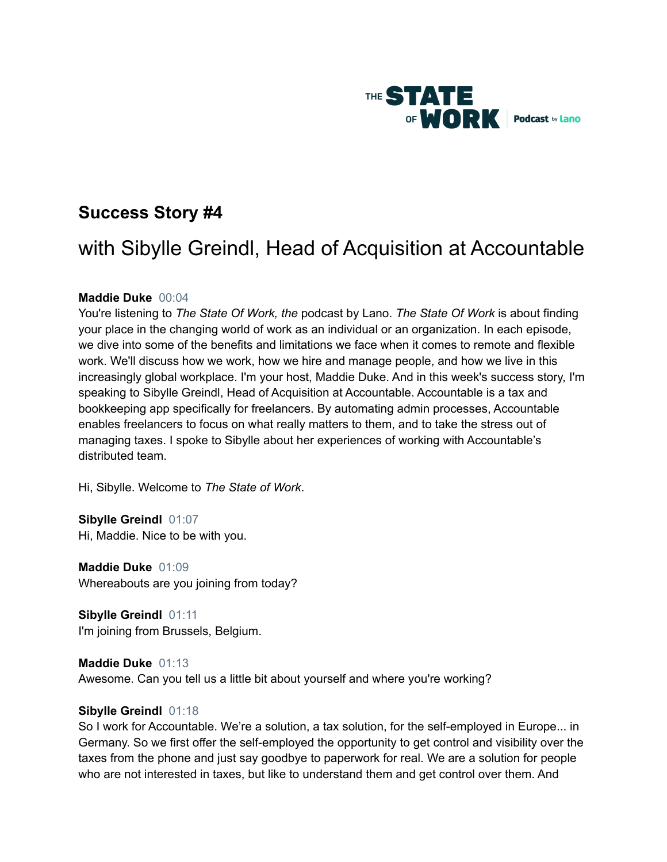

# **Success Story #4**

# with Sibylle Greindl, Head of Acquisition at Accountable

# **Maddie Duke** 00:04

You're listening to *The State Of Work, the* podcast by Lano. *The State Of Work* is about finding your place in the changing world of work as an individual or an organization. In each episode, we dive into some of the benefits and limitations we face when it comes to remote and flexible work. We'll discuss how we work, how we hire and manage people, and how we live in this increasingly global workplace. I'm your host, Maddie Duke. And in this week's success story, I'm speaking to Sibylle Greindl, Head of Acquisition at Accountable. Accountable is a tax and bookkeeping app specifically for freelancers. By automating admin processes, Accountable enables freelancers to focus on what really matters to them, and to take the stress out of managing taxes. I spoke to Sibylle about her experiences of working with Accountable's distributed team.

Hi, Sibylle. Welcome to *The State of Work*.

**Sibylle Greindl** 01:07 Hi, Maddie. Nice to be with you.

**Maddie Duke** 01:09 Whereabouts are you joining from today?

**Sibylle Greindl** 01:11 I'm joining from Brussels, Belgium.

**Maddie Duke** 01:13 Awesome. Can you tell us a little bit about yourself and where you're working?

#### **Sibylle Greindl** 01:18

So I work for Accountable. We're a solution, a tax solution, for the self-employed in Europe... in Germany. So we first offer the self-employed the opportunity to get control and visibility over the taxes from the phone and just say goodbye to paperwork for real. We are a solution for people who are not interested in taxes, but like to understand them and get control over them. And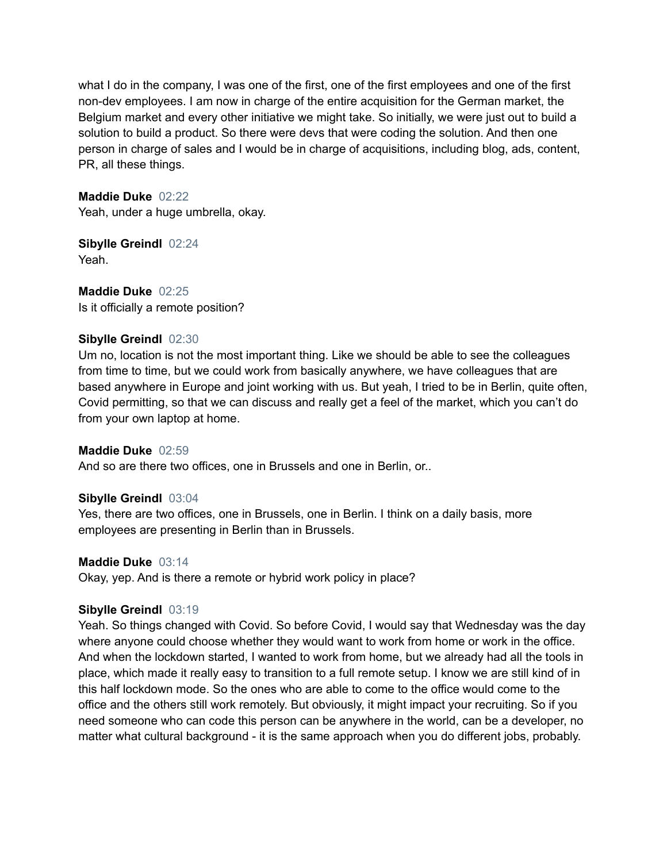what I do in the company, I was one of the first, one of the first employees and one of the first non-dev employees. I am now in charge of the entire acquisition for the German market, the Belgium market and every other initiative we might take. So initially, we were just out to build a solution to build a product. So there were devs that were coding the solution. And then one person in charge of sales and I would be in charge of acquisitions, including blog, ads, content, PR, all these things.

**Maddie Duke** 02:22 Yeah, under a huge umbrella, okay.

**Sibylle Greindl** 02:24 Yeah.

**Maddie Duke** 02:25 Is it officially a remote position?

# **Sibylle Greindl** 02:30

Um no, location is not the most important thing. Like we should be able to see the colleagues from time to time, but we could work from basically anywhere, we have colleagues that are based anywhere in Europe and joint working with us. But yeah, I tried to be in Berlin, quite often, Covid permitting, so that we can discuss and really get a feel of the market, which you can't do from your own laptop at home.

# **Maddie Duke** 02:59

And so are there two offices, one in Brussels and one in Berlin, or..

# **Sibylle Greindl** 03:04

Yes, there are two offices, one in Brussels, one in Berlin. I think on a daily basis, more employees are presenting in Berlin than in Brussels.

#### **Maddie Duke** 03:14

Okay, yep. And is there a remote or hybrid work policy in place?

# **Sibylle Greindl** 03:19

Yeah. So things changed with Covid. So before Covid, I would say that Wednesday was the day where anyone could choose whether they would want to work from home or work in the office. And when the lockdown started, I wanted to work from home, but we already had all the tools in place, which made it really easy to transition to a full remote setup. I know we are still kind of in this half lockdown mode. So the ones who are able to come to the office would come to the office and the others still work remotely. But obviously, it might impact your recruiting. So if you need someone who can code this person can be anywhere in the world, can be a developer, no matter what cultural background - it is the same approach when you do different jobs, probably.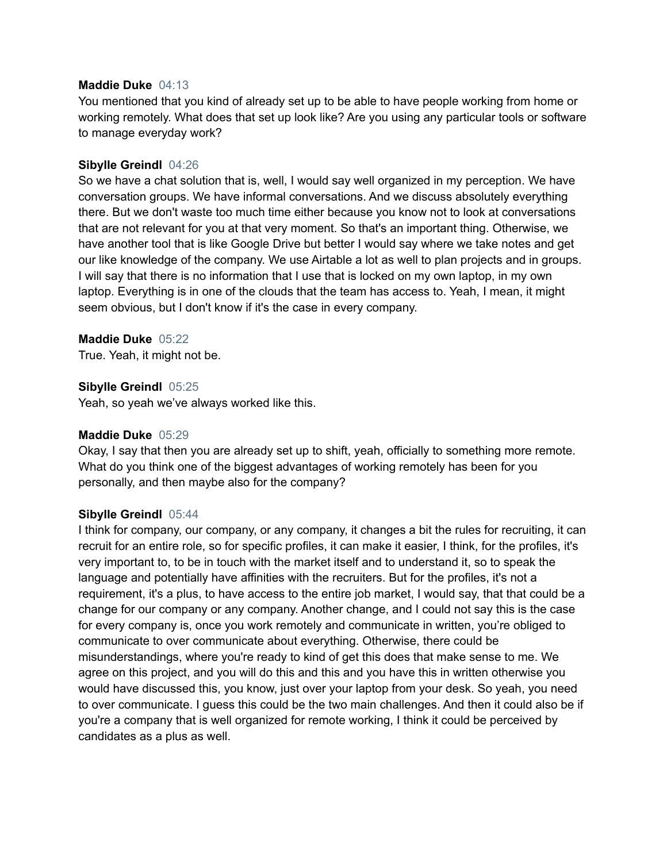#### **Maddie Duke** 04:13

You mentioned that you kind of already set up to be able to have people working from home or working remotely. What does that set up look like? Are you using any particular tools or software to manage everyday work?

#### **Sibylle Greindl** 04:26

So we have a chat solution that is, well, I would say well organized in my perception. We have conversation groups. We have informal conversations. And we discuss absolutely everything there. But we don't waste too much time either because you know not to look at conversations that are not relevant for you at that very moment. So that's an important thing. Otherwise, we have another tool that is like Google Drive but better I would say where we take notes and get our like knowledge of the company. We use Airtable a lot as well to plan projects and in groups. I will say that there is no information that I use that is locked on my own laptop, in my own laptop. Everything is in one of the clouds that the team has access to. Yeah, I mean, it might seem obvious, but I don't know if it's the case in every company.

#### **Maddie Duke** 05:22

True. Yeah, it might not be.

**Sibylle Greindl** 05:25

Yeah, so yeah we've always worked like this.

#### **Maddie Duke** 05:29

Okay, I say that then you are already set up to shift, yeah, officially to something more remote. What do you think one of the biggest advantages of working remotely has been for you personally, and then maybe also for the company?

# **Sibylle Greindl** 05:44

I think for company, our company, or any company, it changes a bit the rules for recruiting, it can recruit for an entire role, so for specific profiles, it can make it easier, I think, for the profiles, it's very important to, to be in touch with the market itself and to understand it, so to speak the language and potentially have affinities with the recruiters. But for the profiles, it's not a requirement, it's a plus, to have access to the entire job market, I would say, that that could be a change for our company or any company. Another change, and I could not say this is the case for every company is, once you work remotely and communicate in written, you're obliged to communicate to over communicate about everything. Otherwise, there could be misunderstandings, where you're ready to kind of get this does that make sense to me. We agree on this project, and you will do this and this and you have this in written otherwise you would have discussed this, you know, just over your laptop from your desk. So yeah, you need to over communicate. I guess this could be the two main challenges. And then it could also be if you're a company that is well organized for remote working, I think it could be perceived by candidates as a plus as well.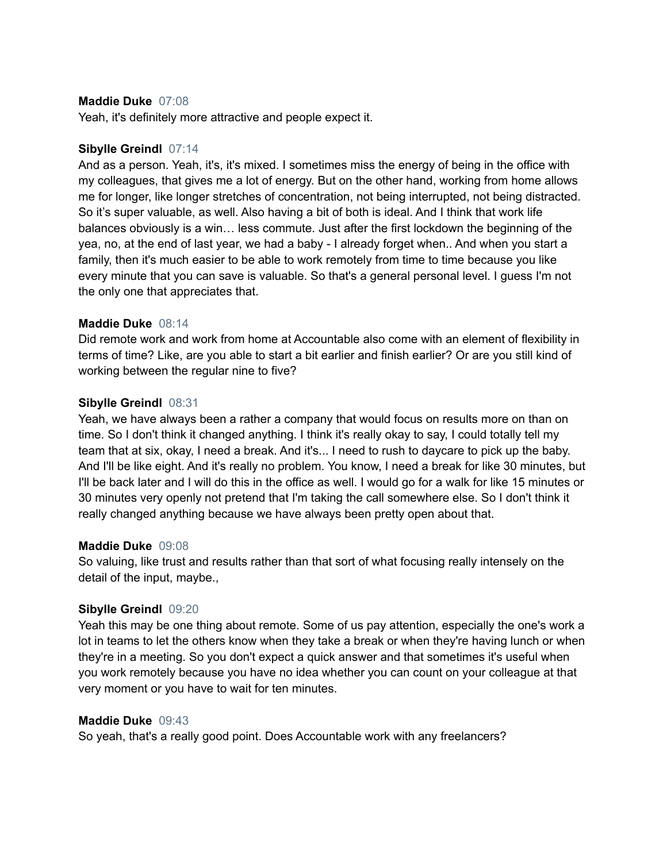#### **Maddie Duke** 07:08

Yeah, it's definitely more attractive and people expect it.

#### **Sibylle Greindl** 07:14

And as a person. Yeah, it's, it's mixed. I sometimes miss the energy of being in the office with my colleagues, that gives me a lot of energy. But on the other hand, working from home allows me for longer, like longer stretches of concentration, not being interrupted, not being distracted. So it's super valuable, as well. Also having a bit of both is ideal. And I think that work life balances obviously is a win… less commute. Just after the first lockdown the beginning of the yea, no, at the end of last year, we had a baby - I already forget when.. And when you start a family, then it's much easier to be able to work remotely from time to time because you like every minute that you can save is valuable. So that's a general personal level. I guess I'm not the only one that appreciates that.

# **Maddie Duke** 08:14

Did remote work and work from home at Accountable also come with an element of flexibility in terms of time? Like, are you able to start a bit earlier and finish earlier? Or are you still kind of working between the regular nine to five?

#### **Sibylle Greindl** 08:31

Yeah, we have always been a rather a company that would focus on results more on than on time. So I don't think it changed anything. I think it's really okay to say, I could totally tell my team that at six, okay, I need a break. And it's... I need to rush to daycare to pick up the baby. And I'll be like eight. And it's really no problem. You know, I need a break for like 30 minutes, but I'll be back later and I will do this in the office as well. I would go for a walk for like 15 minutes or 30 minutes very openly not pretend that I'm taking the call somewhere else. So I don't think it really changed anything because we have always been pretty open about that.

#### **Maddie Duke** 09:08

So valuing, like trust and results rather than that sort of what focusing really intensely on the detail of the input, maybe.,

# **Sibylle Greindl** 09:20

Yeah this may be one thing about remote. Some of us pay attention, especially the one's work a lot in teams to let the others know when they take a break or when they're having lunch or when they're in a meeting. So you don't expect a quick answer and that sometimes it's useful when you work remotely because you have no idea whether you can count on your colleague at that very moment or you have to wait for ten minutes.

# **Maddie Duke** 09:43

So yeah, that's a really good point. Does Accountable work with any freelancers?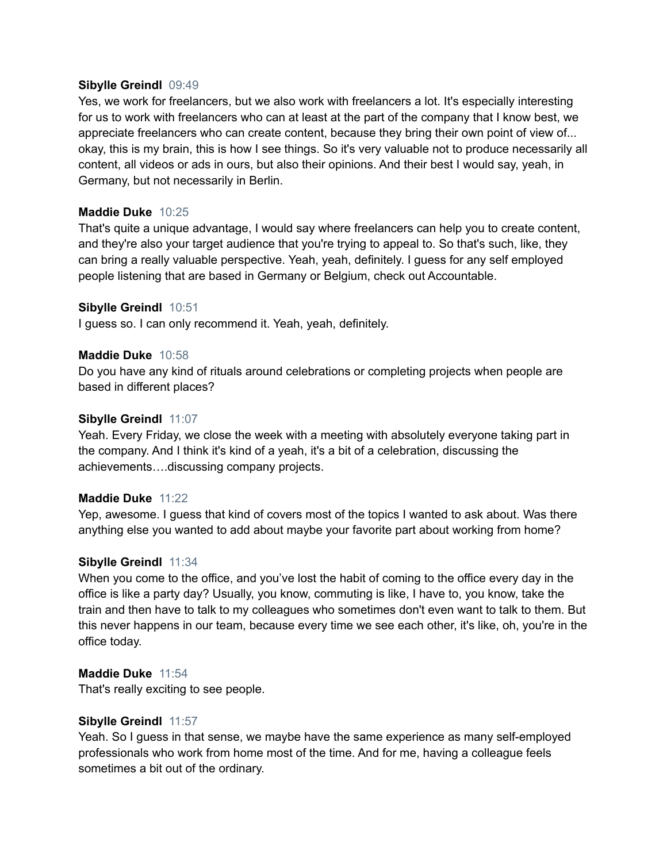#### **Sibylle Greindl** 09:49

Yes, we work for freelancers, but we also work with freelancers a lot. It's especially interesting for us to work with freelancers who can at least at the part of the company that I know best, we appreciate freelancers who can create content, because they bring their own point of view of... okay, this is my brain, this is how I see things. So it's very valuable not to produce necessarily all content, all videos or ads in ours, but also their opinions. And their best I would say, yeah, in Germany, but not necessarily in Berlin.

# **Maddie Duke** 10:25

That's quite a unique advantage, I would say where freelancers can help you to create content, and they're also your target audience that you're trying to appeal to. So that's such, like, they can bring a really valuable perspective. Yeah, yeah, definitely. I guess for any self employed people listening that are based in Germany or Belgium, check out Accountable.

#### **Sibylle Greindl** 10:51

I guess so. I can only recommend it. Yeah, yeah, definitely.

#### **Maddie Duke** 10:58

Do you have any kind of rituals around celebrations or completing projects when people are based in different places?

#### **Sibylle Greindl** 11:07

Yeah. Every Friday, we close the week with a meeting with absolutely everyone taking part in the company. And I think it's kind of a yeah, it's a bit of a celebration, discussing the achievements….discussing company projects.

#### **Maddie Duke** 11:22

Yep, awesome. I guess that kind of covers most of the topics I wanted to ask about. Was there anything else you wanted to add about maybe your favorite part about working from home?

#### **Sibylle Greindl** 11:34

When you come to the office, and you've lost the habit of coming to the office every day in the office is like a party day? Usually, you know, commuting is like, I have to, you know, take the train and then have to talk to my colleagues who sometimes don't even want to talk to them. But this never happens in our team, because every time we see each other, it's like, oh, you're in the office today.

#### **Maddie Duke** 11:54

That's really exciting to see people.

#### **Sibylle Greindl** 11:57

Yeah. So I guess in that sense, we maybe have the same experience as many self-employed professionals who work from home most of the time. And for me, having a colleague feels sometimes a bit out of the ordinary.